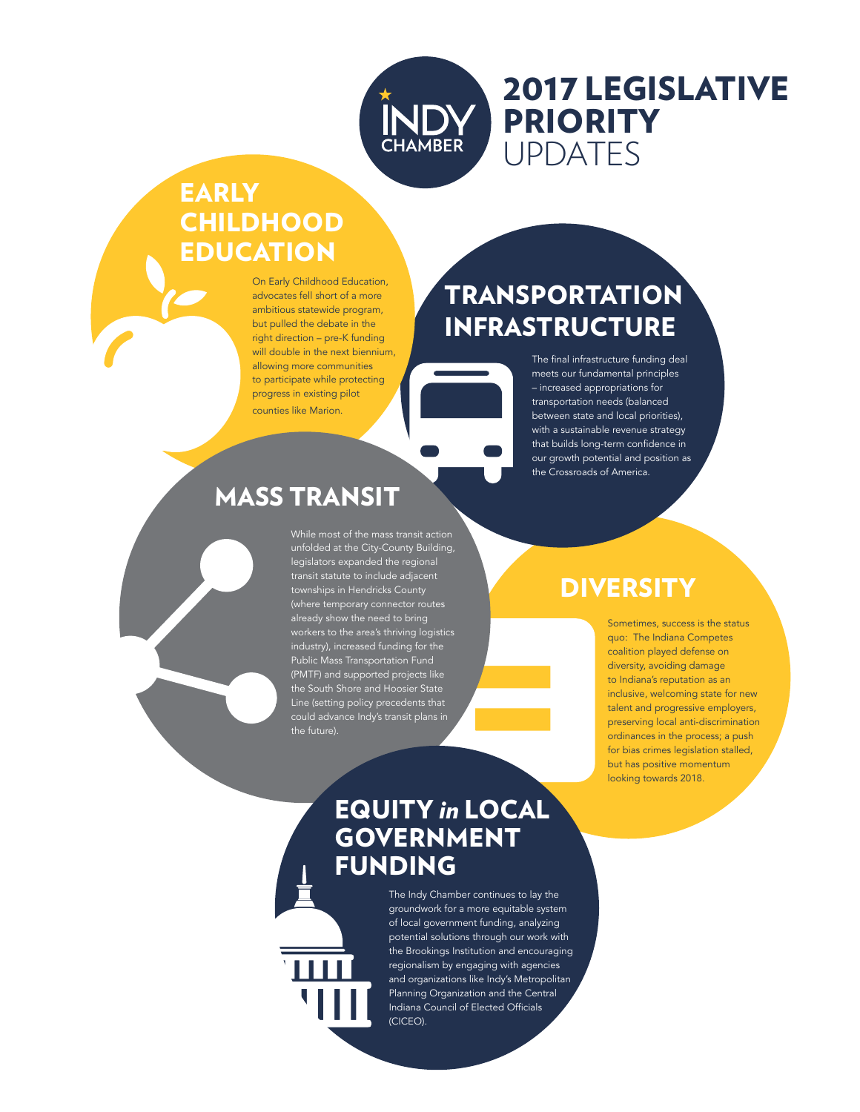

# 2017 LEGISLATIVE PRIORITY UPDATES

## EARLY **CHILDHOOD EDUCATION**

On Early Childhood Education, advocates fell short of a more ambitious statewide program, but pulled the debate in the right direction – pre-K funding will double in the next biennium, allowing more communities to participate while protecting progress in existing pilot counties like Marion.

# TRANSPORTATION INFRASTRUCTURE

The final infrastructure funding deal meets our fundamental principles – increased appropriations for transportation needs (balanced between state and local priorities), with a sustainable revenue strategy that builds long-term confidence in our growth potential and position as the Crossroads of America.

## MASS TRANSIT

While most of the mass transit action unfolded at the City-County Building, legislators expanded the regional transit statute to include adjacent townships in Hendricks County (where temporary connector routes already show the need to bring workers to the area's thriving logistics industry), increased funding for the Public Mass Transportation Fund (PMTF) and supported projects like the South Shore and Hoosier State Line (setting policy precedents that could advance Indy's transit plans in the future).

## **DIVERSITY**

Sometimes, success is the status quo: The Indiana Competes coalition played defense on diversity, avoiding damage to Indiana's reputation as an inclusive, welcoming state for new talent and progressive employers, preserving local anti-discrimination ordinances in the process; a push for bias crimes legislation stalled, but has positive momentum looking towards 2018.

### EQUITY *in* LOCAL GOVERNMENT FUNDING

The Indy Chamber continues to lay the groundwork for a more equitable system of local government funding, analyzing potential solutions through our work with the Brookings Institution and encouraging regionalism by engaging with agencies and organizations like Indy's Metropolitan Planning Organization and the Central Indiana Council of Elected Officials (CICEO).